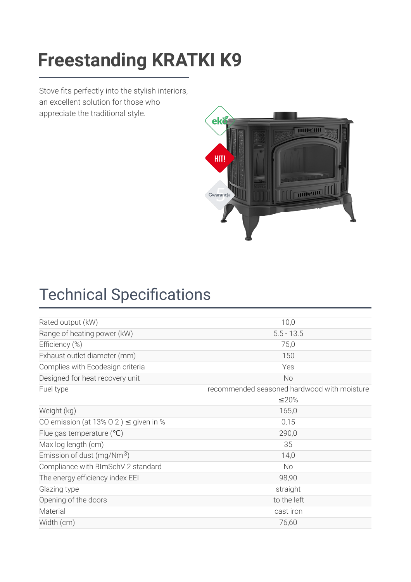### [Freestanding](https://kratki.com/sklep/en/produkt/1354/freestanding-stove-k9-o-150) KDATKI KO **Freestanding KRATKI K9**

Stove fits perfectly into the stylish interiors, an excellent solution for those who appreciate the traditional style.



## **Technical Specifications**

| Rated output (kW)                           | 10,0                                        |  |
|---------------------------------------------|---------------------------------------------|--|
| Range of heating power (kW)<br>$5.5 - 13.5$ |                                             |  |
| Efficiency (%)                              | 75,0                                        |  |
| Exhaust outlet diameter (mm)                | 150                                         |  |
| Complies with Ecodesign criteria            | Yes                                         |  |
| Designed for heat recovery unit             | <b>No</b>                                   |  |
| Fuel type                                   | recommended seasoned hardwood with moisture |  |
|                                             | ≤20%                                        |  |
| Weight (kg)                                 | 165,0                                       |  |
| CO emission (at 13% O 2) $\leq$ given in %  | 0,15                                        |  |
| 290,0<br>Flue gas temperature $(°C)$        |                                             |  |
| 35<br>Max log length (cm)                   |                                             |  |
| Emission of dust (mg/Nm $3$ )               | 14,0                                        |  |
| Compliance with BImSchV 2 standard          | <b>No</b>                                   |  |
| The energy efficiency index EEI             | 98,90                                       |  |
| Glazing type                                | straight                                    |  |
| Opening of the doors                        | to the left                                 |  |
| Material                                    | cast iron                                   |  |
| Width (cm)                                  | 76,60                                       |  |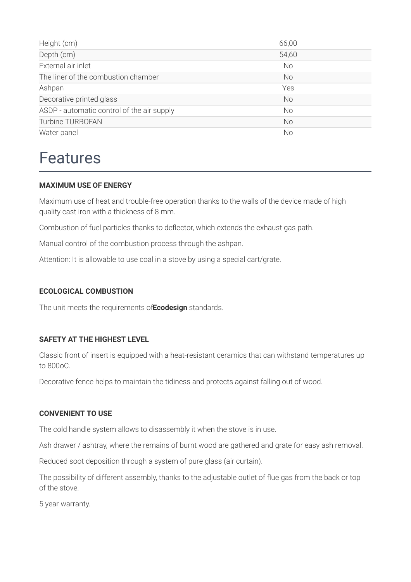| Height (cm)                                | 66,00     |
|--------------------------------------------|-----------|
| Depth (cm)                                 | 54,60     |
| External air inlet                         | <b>No</b> |
| The liner of the combustion chamber        | No        |
| Ashpan                                     | Yes       |
| Decorative printed glass                   | <b>No</b> |
| ASDP - automatic control of the air supply | <b>No</b> |
| <b>Turbine TURBOFAN</b>                    | No        |
| Water panel                                | No        |

### Features

#### **MAXIMUM USE OF ENERGY**

Maximum use of heat and trouble-free operation thanks to the walls of the device made of high quality cast iron with a thickness of 8 mm.

Combustion of fuel particles thanks to deflector, which extends the exhaust gas path.

Manual control of the combustion process through the ashpan.

Attention: It is allowable to use coal in a stove by using a special cart/grate.

#### **ECOLOGICAL COMBUSTION**

The unit meets the requirements of**Ecodesign** standards.

#### **SAFETY AT THE HIGHEST LEVEL**

Classic front of insert is equipped with a heat-resistant ceramics that can withstand temperatures up to 800oC.

Decorative fence helps to maintain the tidiness and protects against falling out of wood.

#### **CONVENIENT TO USE**

The cold handle system allows to disassembly it when the stove is in use.

Ash drawer / ashtray, where the remains of burnt wood are gathered and grate for easy ash removal.

Reduced soot deposition through a system of pure glass (air curtain).

The possibility of different assembly, thanks to the adjustable outlet of flue gas from the back or top of the stove.

5 year warranty.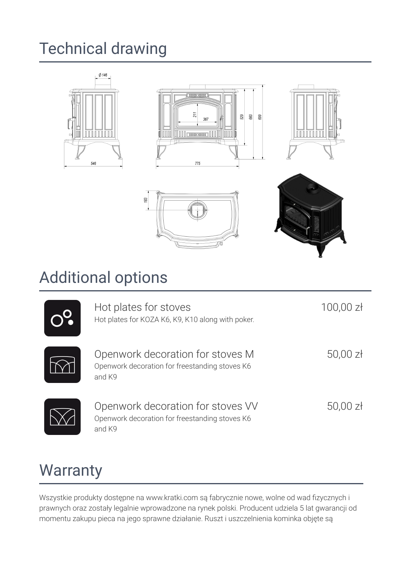# Technical drawing







## Additional options

183

| Hot plates for stoves<br>Hot plates for KOZA K6, K9, K10 along with poker.                    | 100,00 zł  |
|-----------------------------------------------------------------------------------------------|------------|
| Openwork decoration for stoves M<br>Openwork decoration for freestanding stoves K6<br>and K9  | $50,00$ zł |
| Openwork decoration for stoves VV<br>Openwork decoration for freestanding stoves K6<br>and K9 | $50,00$ zł |

### **Warranty**

Wszystkie produkty dostępne na www.kratki.com są fabrycznie nowe, wolne od wad fizycznych i prawnych oraz zostały legalnie wprowadzone na rynek polski. Producent udziela 5 lat gwarancji od momentu zakupu pieca na jego sprawne działanie. Ruszt i uszczelnienia kominka objęte są